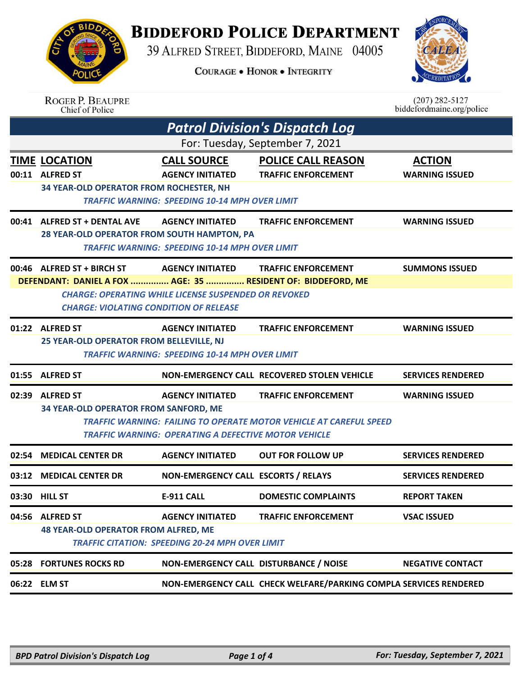**BIDDEFORD POLICE DEPARTMENT** 

39 ALFRED STREET, BIDDEFORD, MAINE 04005

**COURAGE . HONOR . INTEGRITY** 



|       | <b>ROGER P. BEAUPRE</b><br>Chief of Police                                                                                                  |                                                                                                        |                                                                                                         | $(207)$ 282-5127<br>biddefordmaine.org/police |
|-------|---------------------------------------------------------------------------------------------------------------------------------------------|--------------------------------------------------------------------------------------------------------|---------------------------------------------------------------------------------------------------------|-----------------------------------------------|
|       |                                                                                                                                             |                                                                                                        | <b>Patrol Division's Dispatch Log</b>                                                                   |                                               |
|       |                                                                                                                                             |                                                                                                        | For: Tuesday, September 7, 2021                                                                         |                                               |
| 00:11 | <b>TIME LOCATION</b><br><b>ALFRED ST</b><br>34 YEAR-OLD OPERATOR FROM ROCHESTER, NH                                                         | <b>CALL SOURCE</b><br><b>AGENCY INITIATED</b><br><b>TRAFFIC WARNING: SPEEDING 10-14 MPH OVER LIMIT</b> | <b>POLICE CALL REASON</b><br><b>TRAFFIC ENFORCEMENT</b>                                                 | <b>ACTION</b><br><b>WARNING ISSUED</b>        |
| 00:41 | <b>ALFRED ST + DENTAL AVE</b><br>28 YEAR-OLD OPERATOR FROM SOUTH HAMPTON, PA                                                                | <b>AGENCY INITIATED</b><br><b>TRAFFIC WARNING: SPEEDING 10-14 MPH OVER LIMIT</b>                       | <b>TRAFFIC ENFORCEMENT</b>                                                                              | <b>WARNING ISSUED</b>                         |
|       | 00:46 ALFRED ST + BIRCH ST<br>DEFENDANT: DANIEL A FOX  AGE: 35  RESIDENT OF: BIDDEFORD, ME<br><b>CHARGE: VIOLATING CONDITION OF RELEASE</b> | <b>AGENCY INITIATED</b><br><b>CHARGE: OPERATING WHILE LICENSE SUSPENDED OR REVOKED</b>                 | <b>TRAFFIC ENFORCEMENT</b>                                                                              | <b>SUMMONS ISSUED</b>                         |
|       | 01:22 ALFRED ST<br>25 YEAR-OLD OPERATOR FROM BELLEVILLE, NJ                                                                                 | <b>AGENCY INITIATED</b><br><b>TRAFFIC WARNING: SPEEDING 10-14 MPH OVER LIMIT</b>                       | <b>TRAFFIC ENFORCEMENT</b>                                                                              | <b>WARNING ISSUED</b>                         |
|       | 01:55 ALFRED ST                                                                                                                             |                                                                                                        | NON-EMERGENCY CALL RECOVERED STOLEN VEHICLE                                                             | <b>SERVICES RENDERED</b>                      |
| 02:39 | <b>ALFRED ST</b><br>34 YEAR-OLD OPERATOR FROM SANFORD, ME                                                                                   | <b>AGENCY INITIATED</b><br><b>TRAFFIC WARNING: OPERATING A DEFECTIVE MOTOR VEHICLE</b>                 | <b>TRAFFIC ENFORCEMENT</b><br><b>TRAFFIC WARNING: FAILING TO OPERATE MOTOR VEHICLE AT CAREFUL SPEED</b> | <b>WARNING ISSUED</b>                         |
| 02:54 | <b>MEDICAL CENTER DR</b>                                                                                                                    | <b>AGENCY INITIATED</b>                                                                                | <b>OUT FOR FOLLOW UP</b>                                                                                | <b>SERVICES RENDERED</b>                      |
|       | 03:12 MEDICAL CENTER DR                                                                                                                     | NON-EMERGENCY CALL ESCORTS / RELAYS                                                                    |                                                                                                         | <b>SERVICES RENDERED</b>                      |
|       | 03:30 HILL ST                                                                                                                               | <b>E-911 CALL</b>                                                                                      | <b>DOMESTIC COMPLAINTS</b>                                                                              | <b>REPORT TAKEN</b>                           |
|       | 04:56 ALFRED ST<br><b>48 YEAR-OLD OPERATOR FROM ALFRED, ME</b>                                                                              | <b>AGENCY INITIATED</b><br><b>TRAFFIC CITATION: SPEEDING 20-24 MPH OVER LIMIT</b>                      | <b>TRAFFIC ENFORCEMENT</b>                                                                              | <b>VSAC ISSUED</b>                            |
|       | 05:28 FORTUNES ROCKS RD                                                                                                                     | NON-EMERGENCY CALL DISTURBANCE / NOISE                                                                 |                                                                                                         | <b>NEGATIVE CONTACT</b>                       |
|       | 06:22 ELM ST                                                                                                                                |                                                                                                        | NON-EMERGENCY CALL CHECK WELFARE/PARKING COMPLA SERVICES RENDERED                                       |                                               |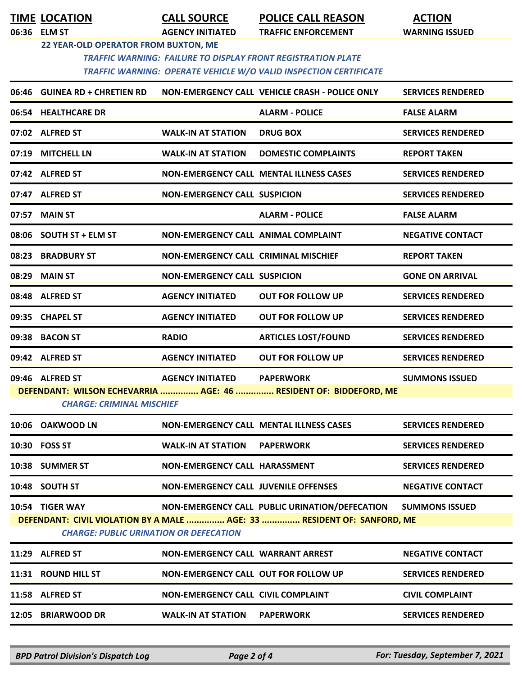**TIME LOCATION CALL SOURCE POLICE CALL REASON ACTION**

**06:36 ELM ST AGENCY INITIATED TRAFFIC ENFORCEMENT WARNING ISSUED**

## **22 YEAR-OLD OPERATOR FROM BUXTON, ME**

 *TRAFFIC WARNING: FAILURE TO DISPLAY FRONT REGISTRATION PLATE TRAFFIC WARNING: OPERATE VEHICLE W/O VALID INSPECTION CERTIFICATE* 

| 06:46 GUINEA RD + CHRETIEN RD                 |                                             | NON-EMERGENCY CALL VEHICLE CRASH - POLICE ONLY                          | <b>SERVICES RENDERED</b> |
|-----------------------------------------------|---------------------------------------------|-------------------------------------------------------------------------|--------------------------|
| 06:54 HEALTHCARE DR                           |                                             | <b>ALARM - POLICE</b>                                                   | <b>FALSE ALARM</b>       |
| 07:02 ALFRED ST                               | <b>WALK-IN AT STATION</b>                   | <b>DRUG BOX</b>                                                         | <b>SERVICES RENDERED</b> |
| 07:19 MITCHELL LN                             | <b>WALK-IN AT STATION</b>                   | <b>DOMESTIC COMPLAINTS</b>                                              | <b>REPORT TAKEN</b>      |
| 07:42 ALFRED ST                               |                                             | <b>NON-EMERGENCY CALL MENTAL ILLNESS CASES</b>                          | <b>SERVICES RENDERED</b> |
| 07:47 ALFRED ST                               | <b>NON-EMERGENCY CALL SUSPICION</b>         |                                                                         | <b>SERVICES RENDERED</b> |
| 07:57 MAIN ST                                 |                                             | <b>ALARM - POLICE</b>                                                   | <b>FALSE ALARM</b>       |
| 08:06 SOUTH ST + ELM ST                       | NON-EMERGENCY CALL ANIMAL COMPLAINT         |                                                                         | <b>NEGATIVE CONTACT</b>  |
| 08:23 BRADBURY ST                             | <b>NON-EMERGENCY CALL CRIMINAL MISCHIEF</b> |                                                                         | <b>REPORT TAKEN</b>      |
| 08:29 MAIN ST                                 | <b>NON-EMERGENCY CALL SUSPICION</b>         |                                                                         | <b>GONE ON ARRIVAL</b>   |
| 08:48 ALFRED ST                               | <b>AGENCY INITIATED</b>                     | <b>OUT FOR FOLLOW UP</b>                                                | <b>SERVICES RENDERED</b> |
| 09:35 CHAPEL ST                               | <b>AGENCY INITIATED</b>                     | <b>OUT FOR FOLLOW UP</b>                                                | <b>SERVICES RENDERED</b> |
| 09:38 BACON ST                                | <b>RADIO</b>                                | <b>ARTICLES LOST/FOUND</b>                                              | <b>SERVICES RENDERED</b> |
| 09:42 ALFRED ST                               | <b>AGENCY INITIATED</b>                     | <b>OUT FOR FOLLOW UP</b>                                                | <b>SERVICES RENDERED</b> |
| 09:46 ALFRED ST                               | <b>AGENCY INITIATED</b>                     | <b>PAPERWORK</b>                                                        | <b>SUMMONS ISSUED</b>    |
| <b>CHARGE: CRIMINAL MISCHIEF</b>              |                                             | DEFENDANT: WILSON ECHEVARRIA  AGE: 46  RESIDENT OF: BIDDEFORD, ME       |                          |
| 10:06 OAKWOOD LN                              |                                             | <b>NON-EMERGENCY CALL MENTAL ILLNESS CASES</b>                          | <b>SERVICES RENDERED</b> |
| 10:30 FOSS ST                                 | <b>WALK-IN AT STATION</b>                   | <b>PAPERWORK</b>                                                        | <b>SERVICES RENDERED</b> |
| 10:38 SUMMER ST                               | <b>NON-EMERGENCY CALL HARASSMENT</b>        |                                                                         | <b>SERVICES RENDERED</b> |
| 10:48 SOUTH ST                                | NON-EMERGENCY CALL JUVENILE OFFENSES        |                                                                         | <b>NEGATIVE CONTACT</b>  |
| 10:54 TIGER WAY                               |                                             | NON-EMERGENCY CALL PUBLIC URINATION/DEFECATION SUMMONS ISSUED           |                          |
| <b>CHARGE: PUBLIC URINATION OR DEFECATION</b> |                                             | DEFENDANT: CIVIL VIOLATION BY A MALE  AGE: 33  RESIDENT OF: SANFORD, ME |                          |
| 11:29 ALFRED ST                               | NON-EMERGENCY CALL WARRANT ARREST           |                                                                         | <b>NEGATIVE CONTACT</b>  |
| 11:31 ROUND HILL ST                           | <b>NON-EMERGENCY CALL OUT FOR FOLLOW UP</b> |                                                                         | <b>SERVICES RENDERED</b> |
| 11:58 ALFRED ST                               | <b>NON-EMERGENCY CALL CIVIL COMPLAINT</b>   |                                                                         | <b>CIVIL COMPLAINT</b>   |
| 12:05 BRIARWOOD DR                            | <b>WALK-IN AT STATION</b>                   | <b>PAPERWORK</b>                                                        | <b>SERVICES RENDERED</b> |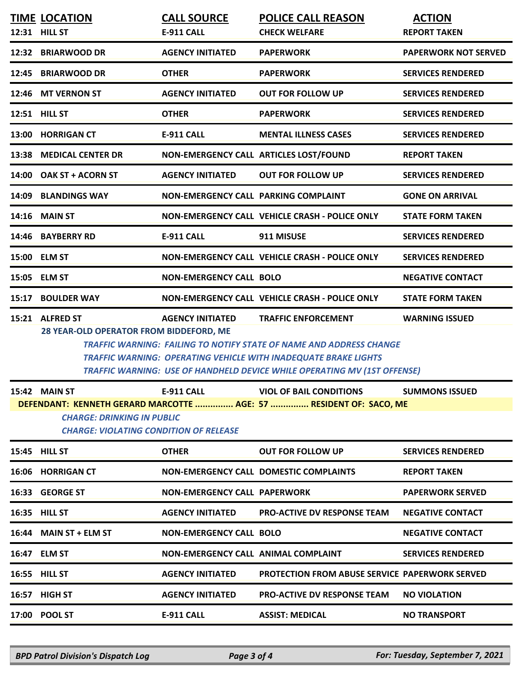|       | <b>TIME LOCATION</b>                                                                                                                                                                                                                                                                                                                                                      | <b>CALL SOURCE</b>                         | <b>POLICE CALL REASON</b>                             | <b>ACTION</b>               |  |  |
|-------|---------------------------------------------------------------------------------------------------------------------------------------------------------------------------------------------------------------------------------------------------------------------------------------------------------------------------------------------------------------------------|--------------------------------------------|-------------------------------------------------------|-----------------------------|--|--|
|       | 12:31 HILL ST                                                                                                                                                                                                                                                                                                                                                             | <b>E-911 CALL</b>                          | <b>CHECK WELFARE</b>                                  | <b>REPORT TAKEN</b>         |  |  |
|       | 12:32 BRIARWOOD DR                                                                                                                                                                                                                                                                                                                                                        | <b>AGENCY INITIATED</b>                    | <b>PAPERWORK</b>                                      | <b>PAPERWORK NOT SERVED</b> |  |  |
|       | 12:45 BRIARWOOD DR                                                                                                                                                                                                                                                                                                                                                        | <b>OTHER</b>                               | <b>PAPERWORK</b>                                      | <b>SERVICES RENDERED</b>    |  |  |
|       | 12:46 MT VERNON ST                                                                                                                                                                                                                                                                                                                                                        | <b>AGENCY INITIATED</b>                    | <b>OUT FOR FOLLOW UP</b>                              | <b>SERVICES RENDERED</b>    |  |  |
|       | 12:51 HILL ST                                                                                                                                                                                                                                                                                                                                                             | <b>OTHER</b>                               | <b>PAPERWORK</b>                                      | <b>SERVICES RENDERED</b>    |  |  |
|       | 13:00 HORRIGAN CT                                                                                                                                                                                                                                                                                                                                                         | <b>E-911 CALL</b>                          | <b>MENTAL ILLNESS CASES</b>                           | <b>SERVICES RENDERED</b>    |  |  |
|       | 13:38 MEDICAL CENTER DR                                                                                                                                                                                                                                                                                                                                                   | NON-EMERGENCY CALL ARTICLES LOST/FOUND     |                                                       | <b>REPORT TAKEN</b>         |  |  |
|       | 14:00 OAK ST + ACORN ST                                                                                                                                                                                                                                                                                                                                                   | <b>AGENCY INITIATED</b>                    | <b>OUT FOR FOLLOW UP</b>                              | <b>SERVICES RENDERED</b>    |  |  |
|       | 14:09 BLANDINGS WAY                                                                                                                                                                                                                                                                                                                                                       | NON-EMERGENCY CALL PARKING COMPLAINT       |                                                       | <b>GONE ON ARRIVAL</b>      |  |  |
|       | 14:16 MAIN ST                                                                                                                                                                                                                                                                                                                                                             |                                            | NON-EMERGENCY CALL VEHICLE CRASH - POLICE ONLY        | <b>STATE FORM TAKEN</b>     |  |  |
|       | 14:46 BAYBERRY RD                                                                                                                                                                                                                                                                                                                                                         | <b>E-911 CALL</b>                          | 911 MISUSE                                            | <b>SERVICES RENDERED</b>    |  |  |
|       | 15:00 ELM ST                                                                                                                                                                                                                                                                                                                                                              |                                            | NON-EMERGENCY CALL VEHICLE CRASH - POLICE ONLY        | <b>SERVICES RENDERED</b>    |  |  |
|       | 15:05 ELM ST                                                                                                                                                                                                                                                                                                                                                              | <b>NON-EMERGENCY CALL BOLO</b>             |                                                       | <b>NEGATIVE CONTACT</b>     |  |  |
| 15:17 | <b>BOULDER WAY</b>                                                                                                                                                                                                                                                                                                                                                        |                                            | NON-EMERGENCY CALL VEHICLE CRASH - POLICE ONLY        | <b>STATE FORM TAKEN</b>     |  |  |
|       | 15:21 ALFRED ST<br><b>TRAFFIC ENFORCEMENT</b><br><b>WARNING ISSUED</b><br><b>AGENCY INITIATED</b><br>28 YEAR-OLD OPERATOR FROM BIDDEFORD, ME<br>TRAFFIC WARNING: FAILING TO NOTIFY STATE OF NAME AND ADDRESS CHANGE<br><b>TRAFFIC WARNING: OPERATING VEHICLE WITH INADEQUATE BRAKE LIGHTS</b><br>TRAFFIC WARNING: USE OF HANDHELD DEVICE WHILE OPERATING MV (1ST OFFENSE) |                                            |                                                       |                             |  |  |
| 15:42 | <b>MAIN ST</b>                                                                                                                                                                                                                                                                                                                                                            | <b>E-911 CALL</b>                          | <b>VIOL OF BAIL CONDITIONS</b>                        | <b>SUMMONS ISSUED</b>       |  |  |
|       | DEFENDANT: KENNETH GERARD MARCOTTE  AGE: 57  RESIDENT OF: SACO, ME<br><b>CHARGE: DRINKING IN PUBLIC</b><br><b>CHARGE: VIOLATING CONDITION OF RELEASE</b>                                                                                                                                                                                                                  |                                            |                                                       |                             |  |  |
|       | <b>15:45 HILL ST</b>                                                                                                                                                                                                                                                                                                                                                      | <b>OTHER</b>                               | <b>OUT FOR FOLLOW UP</b>                              | <b>SERVICES RENDERED</b>    |  |  |
|       | 16:06 HORRIGAN CT                                                                                                                                                                                                                                                                                                                                                         |                                            | <b>NON-EMERGENCY CALL DOMESTIC COMPLAINTS</b>         | <b>REPORT TAKEN</b>         |  |  |
|       | 16:33 GEORGE ST                                                                                                                                                                                                                                                                                                                                                           | <b>NON-EMERGENCY CALL PAPERWORK</b>        |                                                       | <b>PAPERWORK SERVED</b>     |  |  |
|       | 16:35 HILL ST                                                                                                                                                                                                                                                                                                                                                             | <b>AGENCY INITIATED</b>                    | <b>PRO-ACTIVE DV RESPONSE TEAM</b>                    | <b>NEGATIVE CONTACT</b>     |  |  |
|       | 16:44 MAIN ST + ELM ST                                                                                                                                                                                                                                                                                                                                                    | <b>NON-EMERGENCY CALL BOLO</b>             |                                                       | <b>NEGATIVE CONTACT</b>     |  |  |
|       | 16:47 ELM ST                                                                                                                                                                                                                                                                                                                                                              | <b>NON-EMERGENCY CALL ANIMAL COMPLAINT</b> |                                                       | <b>SERVICES RENDERED</b>    |  |  |
|       | 16:55 HILL ST                                                                                                                                                                                                                                                                                                                                                             | <b>AGENCY INITIATED</b>                    | <b>PROTECTION FROM ABUSE SERVICE PAPERWORK SERVED</b> |                             |  |  |
|       | <b>16:57 HIGH ST</b>                                                                                                                                                                                                                                                                                                                                                      | <b>AGENCY INITIATED</b>                    | <b>PRO-ACTIVE DV RESPONSE TEAM</b>                    | <b>NO VIOLATION</b>         |  |  |
|       | 17:00 POOL ST                                                                                                                                                                                                                                                                                                                                                             | <b>E-911 CALL</b>                          | <b>ASSIST: MEDICAL</b>                                | <b>NO TRANSPORT</b>         |  |  |
|       |                                                                                                                                                                                                                                                                                                                                                                           |                                            |                                                       |                             |  |  |